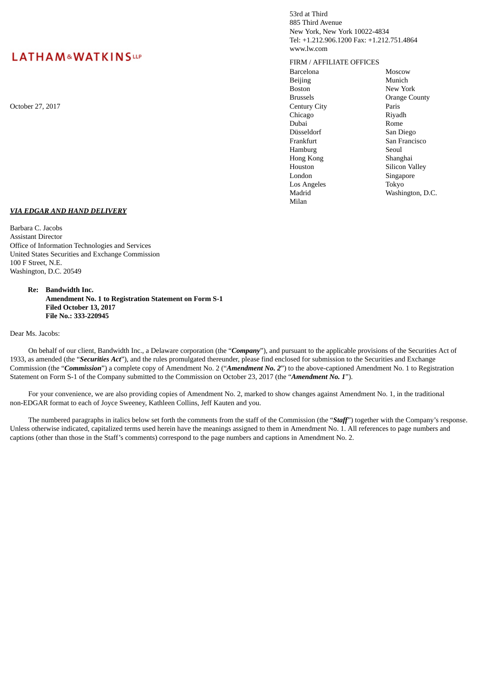# **LATHAM&WATKINSLLP**

October 27, 2017 Century City Paris

53rd at Third 885 Third Avenue New York, New York 10022-4834 Tel: +1.212.906.1200 Fax: +1.212.751.4864 www.lw.com

FIRM / AFFILIATE OFFICES

Barcelona Moscow Beijing Munich Boston New York Chicago Riyadh Dubai Rome Düsseldorf San Diego Hamburg Seoul Hong Kong Shanghai Houston Silicon Valley London Los Angeles Madrid Milan

Brussels Orange County San Francisco Singapore Tokyo Washington, D.C.

### *VIA EDGAR AND HAND DELIVERY*

Barbara C. Jacobs Assistant Director Office of Information Technologies and Services United States Securities and Exchange Commission 100 F Street, N.E. Washington, D.C. 20549

> **Re: Bandwidth Inc. Amendment No. 1 to Registration Statement on Form S-1 Filed October 13, 2017 File No.: 333-220945**

Dear Ms. Jacobs:

On behalf of our client, Bandwidth Inc., a Delaware corporation (the "*Company*"), and pursuant to the applicable provisions of the Securities Act of 1933, as amended (the "*Securities Act*"), and the rules promulgated thereunder, please find enclosed for submission to the Securities and Exchange Commission (the "*Commission*") a complete copy of Amendment No. 2 ("*Amendment No. 2*") to the above-captioned Amendment No. 1 to Registration Statement on Form S-1 of the Company submitted to the Commission on October 23, 2017 (the "*Amendment No. 1*").

For your convenience, we are also providing copies of Amendment No. 2, marked to show changes against Amendment No. 1, in the traditional non-EDGAR format to each of Joyce Sweeney, Kathleen Collins, Jeff Kauten and you.

The numbered paragraphs in italics below set forth the comments from the staff of the Commission (the "*Staff*") together with the Company's response. Unless otherwise indicated, capitalized terms used herein have the meanings assigned to them in Amendment No. 1. All references to page numbers and captions (other than those in the Staff's comments) correspond to the page numbers and captions in Amendment No. 2.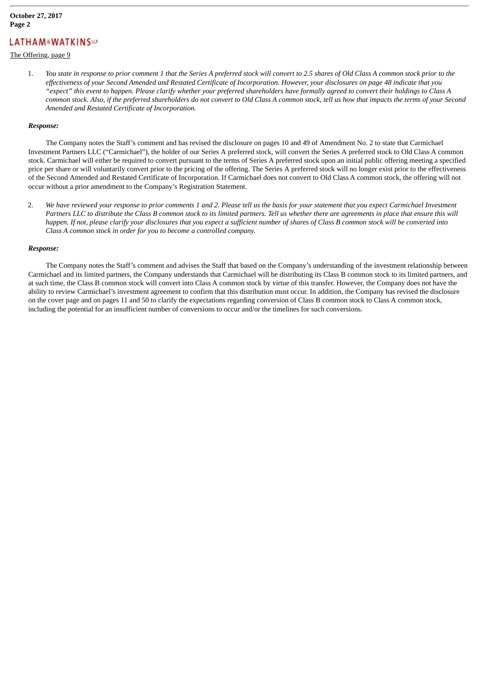# **LATHAM&WATKINSWP**

### The Offering, page 9

1. You state in response to prior comment 1 that the Series A preferred stock will convert to 2.5 shares of Old Class A common stock prior to the effectiveness of your Second Amended and Restated Certificate of Incorporation. However, your disclosures on page 48 indicate that you "expect" this event to happen. Please clarify whether your preferred shareholders have formally agreed to convert their holdings to Class A common stock. Also, if the preferred shareholders do not convert to Old Class A common stock, tell us how that impacts the terms of your Second *Amended and Restated Certificate of Incorporation.*

#### *Response:*

The Company notes the Staff's comment and has revised the disclosure on pages 10 and 49 of Amendment No. 2 to state that Carmichael Investment Partners LLC ("Carmichael"), the holder of our Series A preferred stock, will convert the Series A preferred stock to Old Class A common stock. Carmichael will either be required to convert pursuant to the terms of Series A preferred stock upon an initial public offering meeting a specified price per share or will voluntarily convert prior to the pricing of the offering. The Series A preferred stock will no longer exist prior to the effectiveness of the Second Amended and Restated Certificate of Incorporation. If Carmichael does not convert to Old Class A common stock, the offering will not occur without a prior amendment to the Company's Registration Statement.

2. We have reviewed your response to prior comments 1 and 2. Please tell us the basis for your statement that you expect Carmichael Investment Partners LLC to distribute the Class B common stock to its limited partners. Tell us whether there are agreements in place that ensure this will happen. If not, please clarify your disclosures that you expect a sufficient number of shares of Class B common stock will be converted into *Class A common stock in order for you to become a controlled company.*

#### *Response:*

The Company notes the Staff's comment and advises the Staff that based on the Company's understanding of the investment relationship between Carmichael and its limited partners, the Company understands that Carmichael will be distributing its Class B common stock to its limited partners, and at such time, the Class B common stock will convert into Class A common stock by virtue of this transfer. However, the Company does not have the ability to review Carmichael's investment agreement to confirm that this distribution must occur. In addition, the Company has revised the disclosure on the cover page and on pages 11 and 50 to clarify the expectations regarding conversion of Class B common stock to Class A common stock, including the potential for an insufficient number of conversions to occur and/or the timelines for such conversions.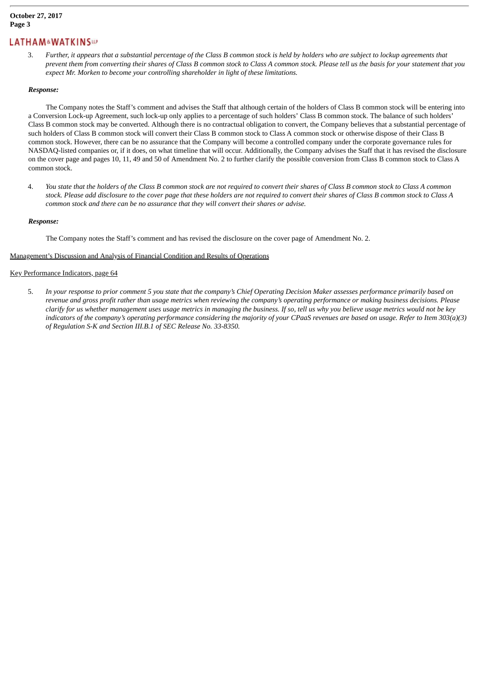### **October 27, 2017 Page 3**

### **LATHAM&WATKINSWP**

3. Further, it appears that a substantial percentage of the Class B common stock is held by holders who are subject to lockup agreements that prevent them from converting their shares of Class B common stock to Class A common stock. Please tell us the basis for your statement that you *expect Mr. Morken to become your controlling shareholder in light of these limitations.*

### *Response:*

The Company notes the Staff's comment and advises the Staff that although certain of the holders of Class B common stock will be entering into a Conversion Lock-up Agreement, such lock-up only applies to a percentage of such holders' Class B common stock. The balance of such holders' Class B common stock may be converted. Although there is no contractual obligation to convert, the Company believes that a substantial percentage of such holders of Class B common stock will convert their Class B common stock to Class A common stock or otherwise dispose of their Class B common stock. However, there can be no assurance that the Company will become a controlled company under the corporate governance rules for NASDAQ-listed companies or, if it does, on what timeline that will occur. Additionally, the Company advises the Staff that it has revised the disclosure on the cover page and pages 10, 11, 49 and 50 of Amendment No. 2 to further clarify the possible conversion from Class B common stock to Class A common stock.

4. You state that the holders of the Class B common stock are not required to convert their shares of Class B common stock to Class A common stock. Please add disclosure to the cover page that these holders are not required to convert their shares of Class B common stock to Class A *common stock and there can be no assurance that they will convert their shares or advise.*

### *Response:*

The Company notes the Staff's comment and has revised the disclosure on the cover page of Amendment No. 2.

### Management's Discussion and Analysis of Financial Condition and Results of Operations

### Key Performance Indicators, page 64

5. In your response to prior comment 5 you state that the company's Chief Operating Decision Maker assesses performance primarily based on revenue and gross profit rather than usage metrics when reviewing the company's operating performance or making business decisions. Please clarify for us whether management uses usage metrics in managing the business. If so, tell us why you believe usage metrics would not be key indicators of the company's operating performance considering the majority of your CPaaS revenues are based on usage. Refer to Item 303(a)(3) *of Regulation S-K and Section III.B.1 of SEC Release No. 33-8350.*